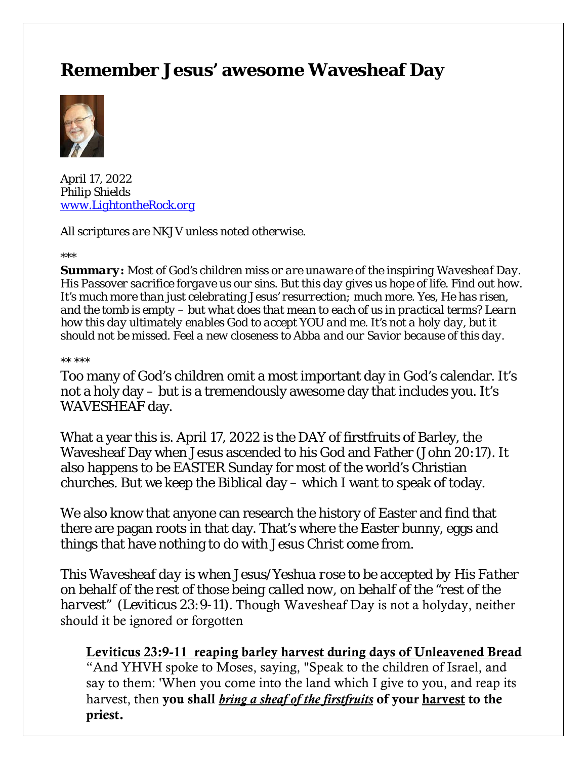# **Remember Jesus' awesome Wavesheaf Day**



April 17, 2022 *Philip Shields [www.LightontheRock.org](http://www.lightontherock.org/)*

*All scriptures are NKJV unless noted otherwise.* 

*\*\*\** 

*Summary: Most of God's children miss or are unaware of the inspiring Wavesheaf Day. His Passover sacrifice forgave us our sins. But this day gives us hope of life. Find out how. It's much more than just celebrating Jesus' resurrection; much more. Yes, He has risen, and the tomb is empty – but what does that mean to each of us in practical terms? Learn how this day ultimately enables God to accept YOU and me. It's not a holy day, but it should not be missed. Feel a new closeness to Abba and our Savior because of this day.* 

*\*\* \*\*\**

Too many of God's children omit a most important day in God's calendar. It's not a holy day – but is a tremendously awesome day that includes you. It's WAVESHEAF day.

What a year this is. April 17, 2022 is the DAY of firstfruits of Barley, the Wavesheaf Day when Jesus ascended to his God and Father (John 20:17). It also happens to be EASTER Sunday for most of the world's Christian churches. But we keep the Biblical day – which I want to speak of today.

We also know that anyone can research the history of Easter and find that there are pagan roots in that day. That's where the Easter bunny, eggs and things that have nothing to do with Jesus Christ come from.

*This Wavesheaf day is when Jesus/Yeshua rose to be accepted by His Father on behalf of the rest of those being called now, on behalf of the "rest of the harvest" (Leviticus 23:9-11).* Though Wavesheaf Day is not a holyday, neither should it be ignored or forgotten

#### Leviticus 23:9-11 reaping barley harvest during days of Unleavened Bread

"And YHVH spoke to Moses, saying, "Speak to the children of Israel, and say to them: 'When you come into the land which I give to you, and reap its harvest, then you shall *bring a sheaf of the firstfruits* of your harvest to the priest.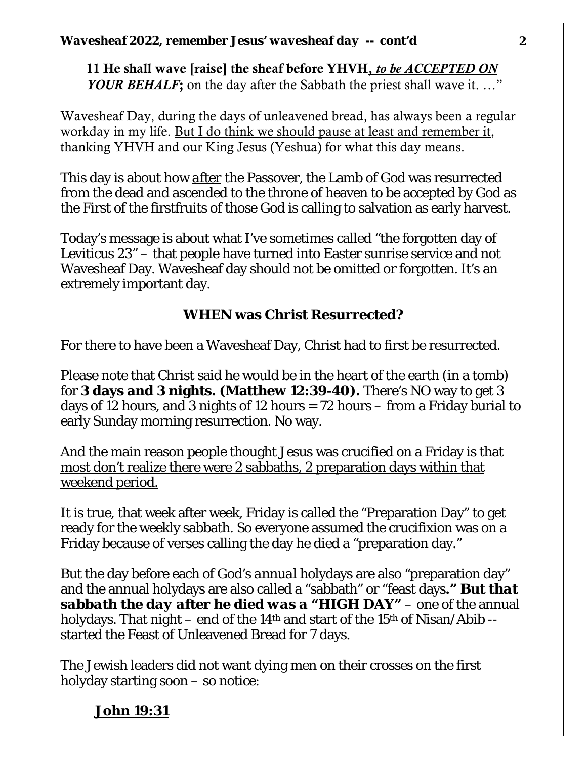11 He shall wave [raise] the sheaf before YHVH, *to be ACCEPTED ON YOUR BEHALF*; on the day after the Sabbath the priest shall wave it. ..."

Wavesheaf Day, during the days of unleavened bread, has always been a regular workday in my life. But I do think we should pause at least and remember it, thanking YHVH and our King Jesus (Yeshua) for what this day means.

This day is about how *after* the Passover, the Lamb of God was resurrected from the dead and ascended to the throne of heaven to be accepted by God as the First of the firstfruits of those God is calling to salvation as early harvest.

Today's message is about what I've sometimes called "the forgotten day of Leviticus 23" – that people have turned into Easter sunrise service and not Wavesheaf Day. Wavesheaf day should not be omitted or forgotten. It's an extremely important day.

# **WHEN was Christ Resurrected?**

For there to have been a Wavesheaf Day, Christ had to first be resurrected.

Please note that Christ said he would be in the heart of the earth (in a tomb) for **3 days and 3 nights. (Matthew 12:39-40).** There's NO way to get 3 days of 12 hours, and 3 nights of 12 hours = 72 hours – from a Friday burial to early Sunday morning resurrection. No way.

And the main reason people thought Jesus was crucified on a Friday is that most don't realize there were 2 sabbaths, 2 preparation days within that weekend period.

It is true, that week after week, Friday is called the "Preparation Day" to get ready for the weekly sabbath. So everyone assumed the crucifixion was on a Friday because of verses calling the day he died a "preparation day."

But the day before each of God's *annual* holydays are also "preparation day" and the annual holydays are also called a "sabbath" or "feast days*." But that sabbath the day after he died was a "HIGH DAY"* – one of the annual holydays. That night – end of the 14<sup>th</sup> and start of the 15<sup>th</sup> of Nisan/Abib -started the Feast of Unleavened Bread for 7 days.

The Jewish leaders did not want dying men on their crosses on the first holyday starting soon – so notice:

# **John 19:31**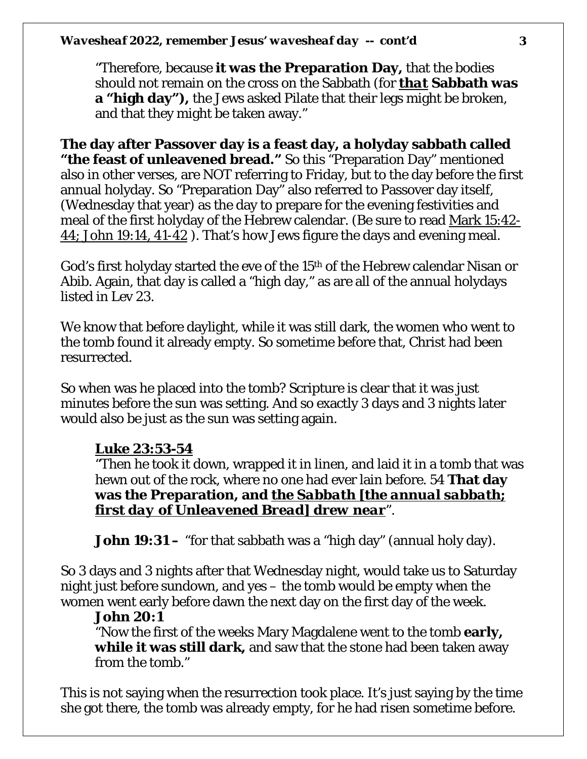"Therefore, because **it was the Preparation Day,** that the bodies should not remain on the cross on the Sabbath (for *that* **Sabbath was a "high day"),** the Jews asked Pilate that their legs might be broken, and that they might be taken away."

**The day after Passover day is a feast day, a holyday sabbath called "the feast of unleavened bread."** So this "Preparation Day" mentioned also in other verses, are NOT referring to Friday, but to the day before the first annual holyday. So "Preparation Day" also referred to Passover day itself, (Wednesday that year) as the day to prepare for the evening festivities and meal of the first holyday of the Hebrew calendar. (Be sure to read Mark 15:42- 44; John 19:14, 41-42 ). That's how Jews figure the days and evening meal.

God's first holyday started the eve of the 15th of the Hebrew calendar Nisan or Abib. Again, that day is called a "high day," as are all of the annual holydays listed in Lev 23.

We know that before daylight, while it was still dark, the women who went to the tomb found it already empty. So sometime before that, Christ had been resurrected.

So when was he placed into the tomb? Scripture is clear that it was just minutes before the sun was setting. And so exactly 3 days and 3 nights later would also be just as the sun was setting again.

### **Luke 23:53-54**

"Then he took it down, wrapped it in linen, and laid it in a tomb that was hewn out of the rock, where no one had ever lain before. 54 **That day was the Preparation, and** *the Sabbath [the annual sabbath; first day of Unleavened Bread] drew near*".

**John 19:31** – "for that sabbath was a "high day" (annual holy day).

So 3 days and 3 nights after that Wednesday night, would take us to Saturday night just before sundown, and yes – the tomb would be empty when the women went early before dawn the next day on the first day of the week.

#### **John 20:1**

"Now the first of the weeks Mary Magdalene went to the tomb **early, while it was still dark,** and saw that the stone had been taken away from the tomb."

This is not saying when the resurrection took place. It's just saying by the time she got there, the tomb was already empty, for he had risen sometime before.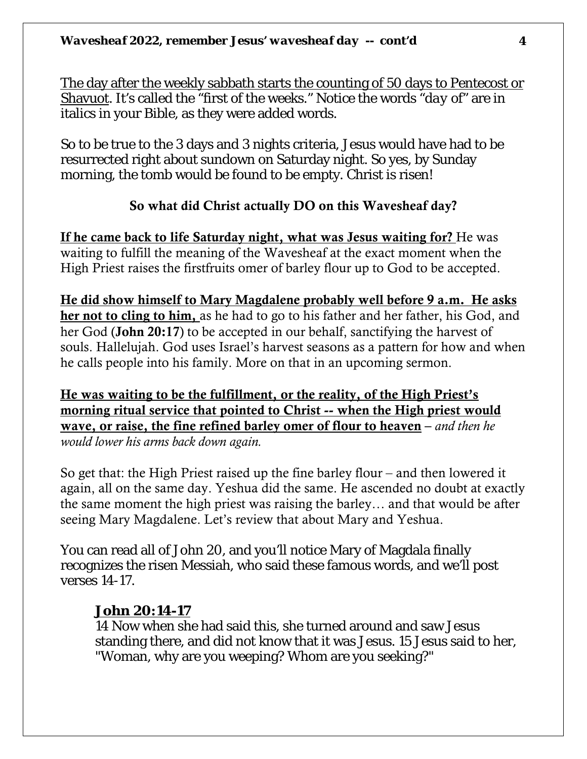The day after the weekly sabbath starts the counting of 50 days to Pentecost or Shavuot. It's called the "first of the weeks." Notice the words "*day* of" are in italics in your Bible, as they were added words.

So to be true to the 3 days and 3 nights criteria, Jesus would have had to be resurrected right about sundown on Saturday night. So yes, by Sunday morning, the tomb would be found to be empty. Christ is risen!

#### So what did Christ actually DO on this Wavesheaf day?

If he came back to life Saturday night, what was Jesus waiting for? He was waiting to fulfill the meaning of the Wavesheaf at the exact moment when the High Priest raises the firstfruits omer of barley flour up to God to be accepted.

He did show himself to Mary Magdalene probably well before 9 a.m. He asks her not to cling to him, as he had to go to his father and her father, his God, and her God (John 20:17) to be accepted in our behalf, sanctifying the harvest of souls. Hallelujah. God uses Israel's harvest seasons as a pattern for how and when he calls people into his family. More on that in an upcoming sermon.

He was waiting to be the fulfillment, or the reality, of the High Priest's morning ritual service that pointed to Christ -- when the High priest would wave, or raise, the fine refined barley omer of flour to heaven – *and then he would lower his arms back down again.* 

So get that: the High Priest raised up the fine barley flour – and then lowered it again, all on the same day. Yeshua did the same. He ascended no doubt at exactly the same moment the high priest was raising the barley… and that would be after seeing Mary Magdalene. Let's review that about Mary and Yeshua.

You can read all of John 20, and you'll notice Mary of Magdala finally recognizes the risen Messiah, who said these famous words, and we'll post verses 14-17.

### **John 20:14-17**

14 Now when she had said this, she turned around and saw Jesus standing there, and did not know that it was Jesus. 15 Jesus said to her, "Woman, why are you weeping? Whom are you seeking?"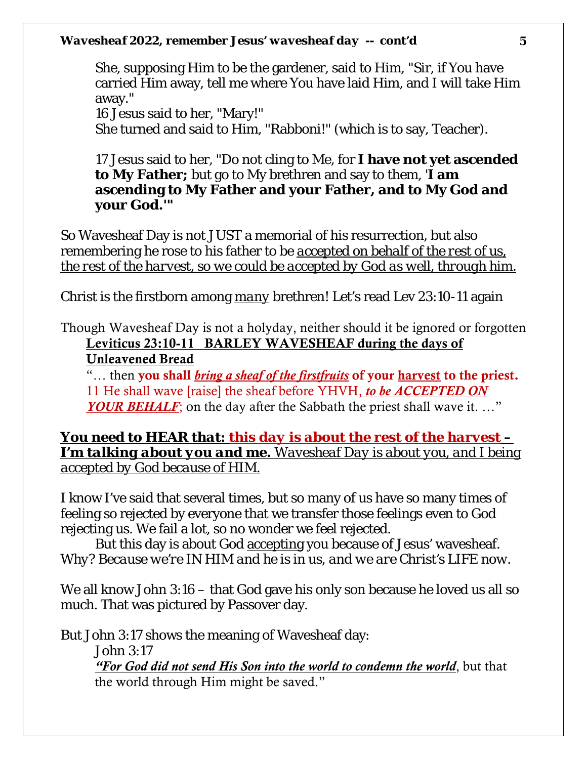She, supposing Him to be the gardener, said to Him, "Sir, if You have carried Him away, tell me where You have laid Him, and I will take Him away."

16 Jesus said to her, "Mary!"

She turned and said to Him, "Rabboni!" (which is to say, Teacher).

17 Jesus said to her, "Do not cling to Me, for **I have not yet ascended to My Father;** but go to My brethren and say to them, '**I am ascending to My Father and your Father, and to My God and your God.'"**

So Wavesheaf Day is not JUST a memorial of his resurrection, but also remembering he rose to his father to be *accepted on behalf of the rest of us, the rest of the harvest, so we could be accepted by God as well, through him.* 

Christ is the firstborn among *many* brethren! Let's read Lev 23:10-11 again

Though Wavesheaf Day is not a holyday, neither should it be ignored or forgotten Leviticus 23:10-11 BARLEY WAVESHEAF during the days of Unleavened Bread

"… then you shall *bring a sheaf of the firstfruits* of your harvest to the priest. 11 He shall wave [raise] the sheaf before YHVH, *to be ACCEPTED ON YOUR BEHALF*; on the day after the Sabbath the priest shall wave it. ..."

*You need to HEAR that: this day is about the rest of the harvest – I'm talking about you and me. Wavesheaf Day is about you, and I being accepted by God because of HIM.*

I know I've said that several times, but so many of us have so many times of feeling so rejected by everyone that we transfer those feelings even to God rejecting us. We fail a lot, so no wonder we feel rejected.

But this day is about God accepting you because of Jesus' wavesheaf. *Why? Because we're IN HIM and he is in us, and we are Christ's LIFE now.* 

We all know John 3:16 – that God gave his only son because he loved us all so much. That was pictured by Passover day.

But John 3:17 shows the meaning of Wavesheaf day: John 3:17 *"For God did not send His Son into the world to condemn the world*, but that the world through Him might be saved."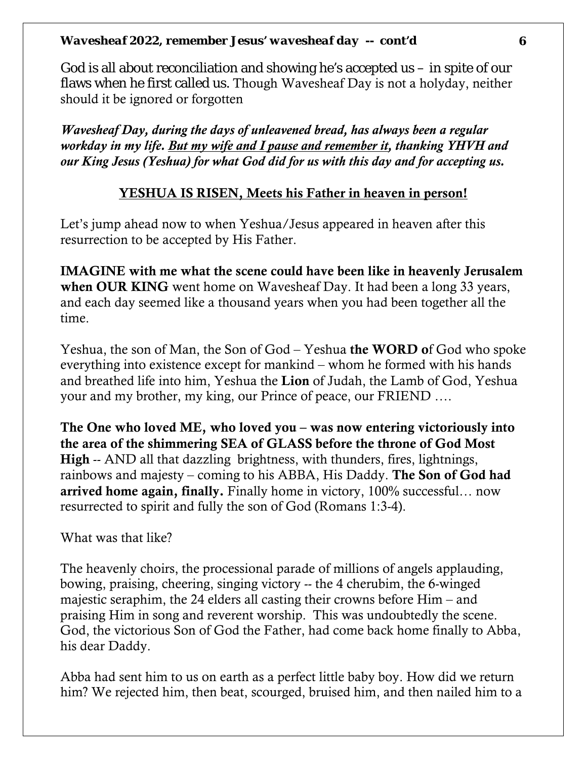God is all about reconciliation and showing he's accepted us  $-$  in spite of our flaws when he first called us. Though Wavesheaf Day is not a holyday, neither should it be ignored or forgotten

*Wavesheaf Day, during the days of unleavened bread, has always been a regular workday in my life. But my wife and I pause and remember it, thanking YHVH and our King Jesus (Yeshua) for what God did for us with this day and for accepting us.* 

### YESHUA IS RISEN, Meets his Father in heaven in person!

Let's jump ahead now to when Yeshua/Jesus appeared in heaven after this resurrection to be accepted by His Father.

IMAGINE with me what the scene could have been like in heavenly Jerusalem when OUR KING went home on Wavesheaf Day. It had been a long 33 years, and each day seemed like a thousand years when you had been together all the time.

Yeshua, the son of Man, the Son of God – Yeshua the WORD of God who spoke everything into existence except for mankind – whom he formed with his hands and breathed life into him, Yeshua the Lion of Judah, the Lamb of God, Yeshua your and my brother, my king, our Prince of peace, our FRIEND ….

The One who loved ME, who loved you – was now entering victoriously into the area of the shimmering SEA of GLASS before the throne of God Most High -- AND all that dazzling brightness, with thunders, fires, lightnings, rainbows and majesty – coming to his ABBA, His Daddy. The Son of God had arrived home again, finally. Finally home in victory, 100% successful… now resurrected to spirit and fully the son of God (Romans 1:3-4).

What was that like?

The heavenly choirs, the processional parade of millions of angels applauding, bowing, praising, cheering, singing victory -- the 4 cherubim, the 6-winged majestic seraphim, the 24 elders all casting their crowns before Him – and praising Him in song and reverent worship. This was undoubtedly the scene. God, the victorious Son of God the Father, had come back home finally to Abba, his dear Daddy.

Abba had sent him to us on earth as a perfect little baby boy. How did we return him? We rejected him, then beat, scourged, bruised him, and then nailed him to a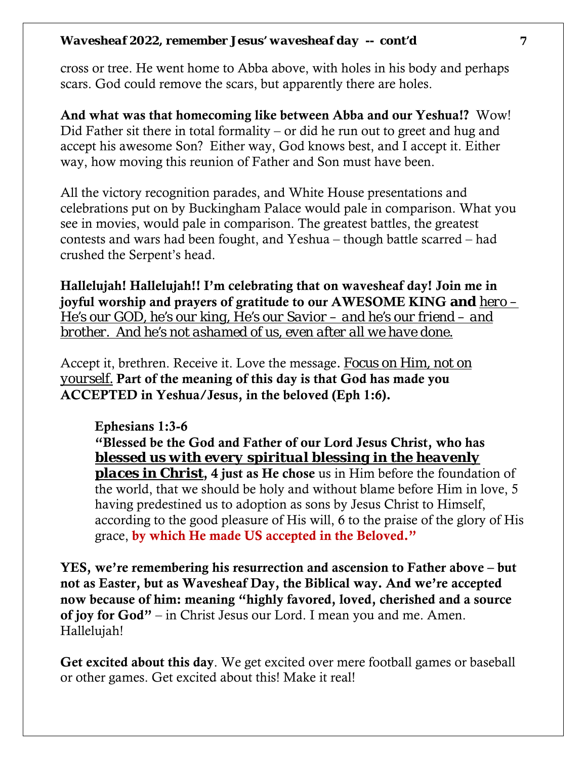cross or tree. He went home to Abba above, with holes in his body and perhaps scars. God could remove the scars, but apparently there are holes.

And what was that homecoming like between Abba and our Yeshua!? Wow! Did Father sit there in total formality – or did he run out to greet and hug and accept his awesome Son? Either way, God knows best, and I accept it. Either way, how moving this reunion of Father and Son must have been.

All the victory recognition parades, and White House presentations and celebrations put on by Buckingham Palace would pale in comparison. What you see in movies, would pale in comparison. The greatest battles, the greatest contests and wars had been fought, and Yeshua – though battle scarred – had crushed the Serpent's head.

Hallelujah! Hallelujah!! I'm celebrating that on wavesheaf day! Join me in joyful worship and prayers of gratitude to our AWESOME KING **and** *hero – He's our GOD, he's our king, He's our Savior – and he's our friend – and brother. And he's not ashamed of us, even after all we have done.* 

Accept it, brethren. Receive it. Love the message. *Focus on Him, not on yourself.* Part of the meaning of this day is that God has made you ACCEPTED in Yeshua/Jesus, in the beloved (Eph 1:6).

Ephesians 1:3-6

"Blessed be the God and Father of our Lord Jesus Christ, who has *blessed us with every spiritual blessing in the heavenly places in Christ*, 4 just as He chose us in Him before the foundation of the world, that we should be holy and without blame before Him in love, 5

having predestined us to adoption as sons by Jesus Christ to Himself, according to the good pleasure of His will, 6 to the praise of the glory of His grace, by which He made US accepted in the Beloved."

YES, we're remembering his resurrection and ascension to Father above – but not as Easter, but as Wavesheaf Day, the Biblical way. And we're accepted now because of him: meaning "highly favored, loved, cherished and a source of joy for God" – in Christ Jesus our Lord. I mean you and me. Amen. Hallelujah!

Get excited about this day. We get excited over mere football games or baseball or other games. Get excited about this! Make it real!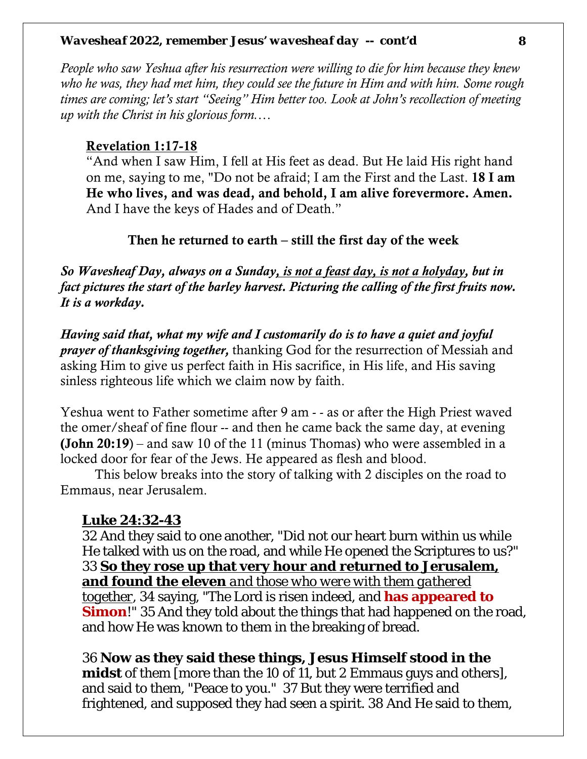*People who saw Yeshua after his resurrection were willing to die for him because they knew who he was, they had met him, they could see the future in Him and with him. Some rough times are coming; let's start "Seeing" Him better too. Look at John's recollection of meeting up with the Christ in his glorious form.…* 

#### Revelation 1:17-18

"And when I saw Him, I fell at His feet as dead. But He laid His right hand on me, saying to me, "Do not be afraid; I am the First and the Last. 18 I am He who lives, and was dead, and behold, I am alive forevermore. Amen. And I have the keys of Hades and of Death."

#### Then he returned to earth – still the first day of the week

*So Wavesheaf Day, always on a Sunday, is not a feast day, is not a holyday, but in fact pictures the start of the barley harvest. Picturing the calling of the first fruits now. It is a workday.* 

*Having said that, what my wife and I customarily do is to have a quiet and joyful prayer of thanksgiving together,* thanking God for the resurrection of Messiah and asking Him to give us perfect faith in His sacrifice, in His life, and His saving sinless righteous life which we claim now by faith.

Yeshua went to Father sometime after 9 am - - as or after the High Priest waved the omer/sheaf of fine flour -- and then he came back the same day, at evening **(John 20:19)** – and saw 10 of the 11 (minus Thomas) who were assembled in a locked door for fear of the Jews. He appeared as flesh and blood.

This below breaks into the story of talking with 2 disciples on the road to Emmaus, near Jerusalem.

#### **Luke 24:32-43**

32 And they said to one another, "Did not our heart burn within us while He talked with us on the road, and while He opened the Scriptures to us?" 33 **So they rose up that very hour and returned to Jerusalem, and found the eleven** *and those who were with them gathered together*, 34 saying, "The Lord is risen indeed, and **has appeared to Simon!**" 35 And they told about the things that had happened on the road, and how He was known to them in the breaking of bread.

36 **Now as they said these things, Jesus Himself stood in the midst** of them [more than the 10 of 11, but 2 Emmaus guys and others], and said to them, "Peace to you." 37 But they were terrified and frightened, and supposed they had seen a spirit. 38 And He said to them,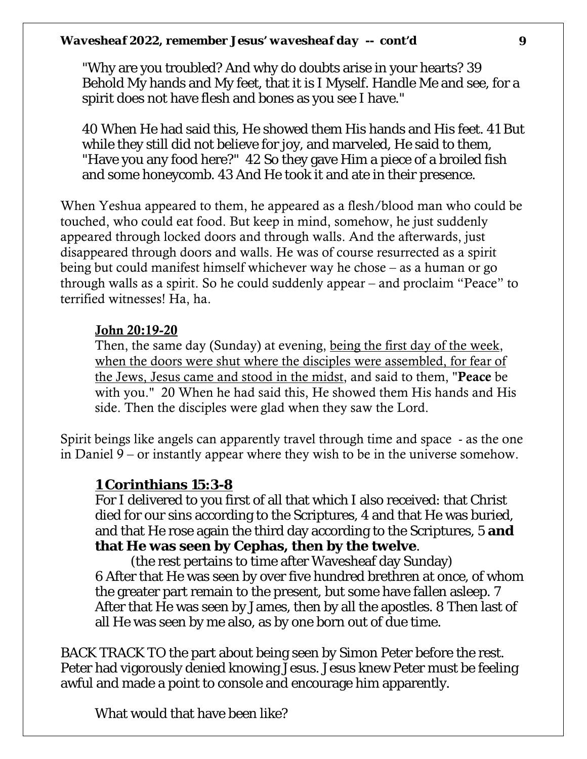"Why are you troubled? And why do doubts arise in your hearts? 39 Behold My hands and My feet, that it is I Myself. Handle Me and see, for a spirit does not have flesh and bones as you see I have."

40 When He had said this, He showed them His hands and His feet. 41 But while they still did not believe for joy, and marveled, He said to them, "Have you any food here?" 42 So they gave Him a piece of a broiled fish and some honeycomb. 43 And He took it and ate in their presence.

When Yeshua appeared to them, he appeared as a flesh/blood man who could be touched, who could eat food. But keep in mind, somehow, he just suddenly appeared through locked doors and through walls. And the afterwards, just disappeared through doors and walls. He was of course resurrected as a spirit being but could manifest himself whichever way he chose – as a human or go through walls as a spirit. So he could suddenly appear – and proclaim "Peace" to terrified witnesses! Ha, ha.

#### John 20:19-20

Then, the same day (Sunday) at evening, being the first day of the week, when the doors were shut where the disciples were assembled, for fear of the Jews, Jesus came and stood in the midst, and said to them, "Peace be with you." 20 When he had said this, He showed them His hands and His side. Then the disciples were glad when they saw the Lord.

Spirit beings like angels can apparently travel through time and space - as the one in Daniel 9 – or instantly appear where they wish to be in the universe somehow.

### **1 Corinthians 15:3-8**

For I delivered to you first of all that which I also received: that Christ died for our sins according to the Scriptures, 4 and that He was buried, and that He rose again the third day according to the Scriptures, 5 **and that He was seen by Cephas, then by the twelve**.

 (the rest pertains to time after Wavesheaf day Sunday) 6 After that He was seen by over five hundred brethren at once, of whom the greater part remain to the present, but some have fallen asleep. 7 After that He was seen by James, then by all the apostles. 8 Then last of all He was seen by me also, as by one born out of due time.

BACK TRACK TO the part about being seen by Simon Peter before the rest. Peter had vigorously denied knowing Jesus. Jesus knew Peter must be feeling awful and made a point to console and encourage him apparently.

What would that have been like?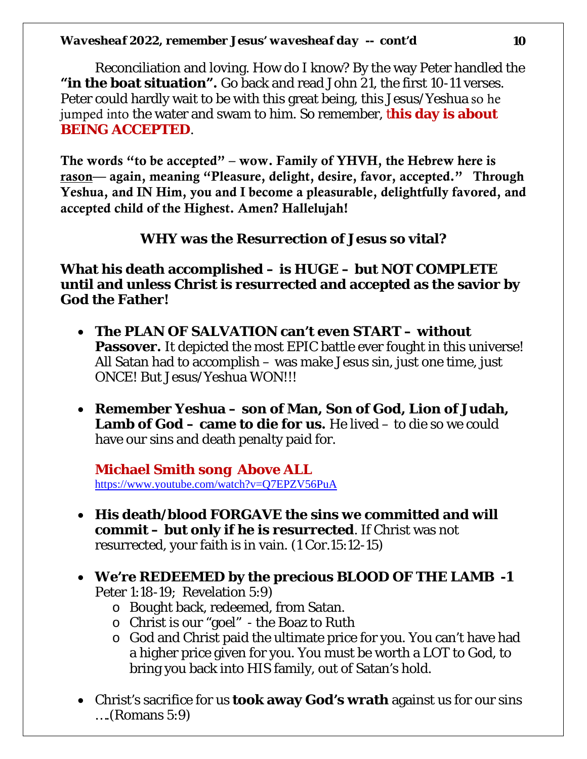Reconciliation and loving. How do I know? By the way Peter handled the **"in the boat situation".** Go back and read John 21, the first 10-11 verses. Peter could hardly wait to be with this great being, this Jesus/Yeshua so he jumped into the water and swam to him. So remember, t**his day is about BEING ACCEPTED**.

The words "to be accepted" – wow. Family of YHVH, the Hebrew here is rason— again, meaning "Pleasure, delight, desire, favor, accepted." Through Yeshua, and IN Him, you and I become a pleasurable, delightfully favored, and accepted child of the Highest. Amen? Hallelujah!

#### **WHY was the Resurrection of Jesus so vital?**

**What his death accomplished – is HUGE – but NOT COMPLETE until and unless Christ is resurrected and accepted as the savior by God the Father!** 

- **The PLAN OF SALVATION can't even START – without Passover.** It depicted the most EPIC battle ever fought in this universe! All Satan had to accomplish – was make Jesus sin, just one time, just ONCE! But Jesus/Yeshua WON!!!
- **Remember Yeshua – son of Man, Son of God, Lion of Judah, Lamb of God – came to die for us.** He lived – to die so we could have our sins and death penalty paid for.

**Michael Smith song Above ALL**  <https://www.youtube.com/watch?v=Q7EPZV56PuA>

- **His death/blood FORGAVE the sins we committed and will commit – but only if he is resurrected**. If Christ was not resurrected, your faith is in vain. (1 Cor.15:12-15)
- **We're REDEEMED by the precious BLOOD OF THE LAMB -1**  Peter 1:18-19; Revelation 5:9)
	- o Bought back, redeemed, from Satan.
	- o Christ is our "goel" the Boaz to Ruth
	- o God and Christ paid the ultimate price for you. You can't have had a higher price given for you. You must be worth a LOT to God, to bring you back into HIS family, out of Satan's hold.
- Christ's sacrifice for us **took away God's wrath** against us for our sins ….(Romans 5:9)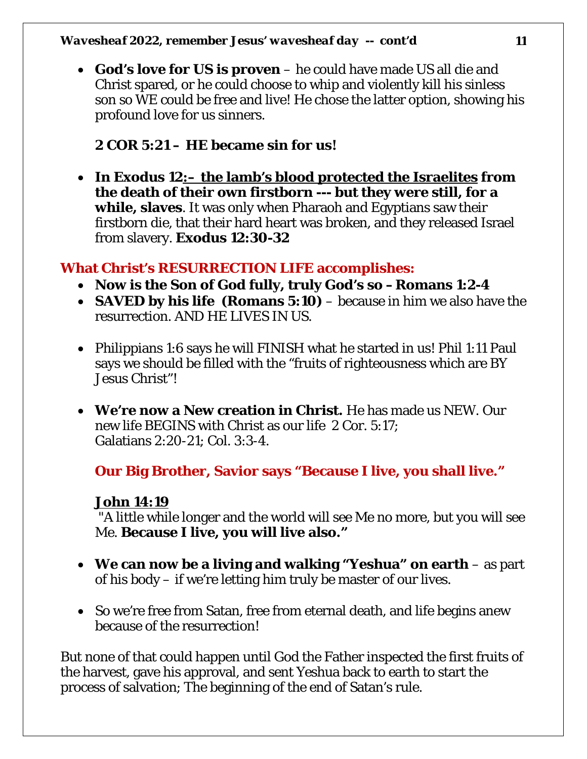• **God's love for US is proven** – he could have made US all die and Christ spared, or he could choose to whip and violently kill his sinless son so WE could be free and live! He chose the latter option, showing his profound love for us sinners.

### **2 COR 5:21 – HE became sin for us!**

• **In Exodus 12:– the lamb's blood protected the Israelites from the death of their own firstborn --- but they were still, for a while, slaves**. It was only when Pharaoh and Egyptians saw their firstborn die, that their hard heart was broken, and they released Israel from slavery. **Exodus 12:30-32**

### **What Christ's RESURRECTION LIFE accomplishes:**

- **Now is the Son of God fully, truly God's so –Romans 1:2-4**
- **SAVED by his life (Romans 5:10)** because in him we also have the resurrection. AND HE LIVES IN US.
- Philippians 1:6 says he will FINISH what he started in us! Phil 1:11 Paul says we should be filled with the "fruits of righteousness which are BY Jesus Christ"!
- **We're now a New creation in Christ.** He has made us NEW. Our new life BEGINS with Christ as our life 2 Cor. 5:17; Galatians 2:20-21; Col. 3:3-4.

# **Our Big Brother, Savior says "Because I live, you shall live."**

### **John 14:19**

"A little while longer and the world will see Me no more, but you will see Me. **Because I live, you will live also."**

- **We can now be a living and walking "Yeshua" on earth**  as part of his body – if we're letting him truly be master of our lives.
- So we're free from Satan, free from eternal death, and life begins anew because of the resurrection!

But none of that could happen until God the Father inspected the first fruits of the harvest, gave his approval, and sent Yeshua back to earth to start the process of salvation; The beginning of the end of Satan's rule.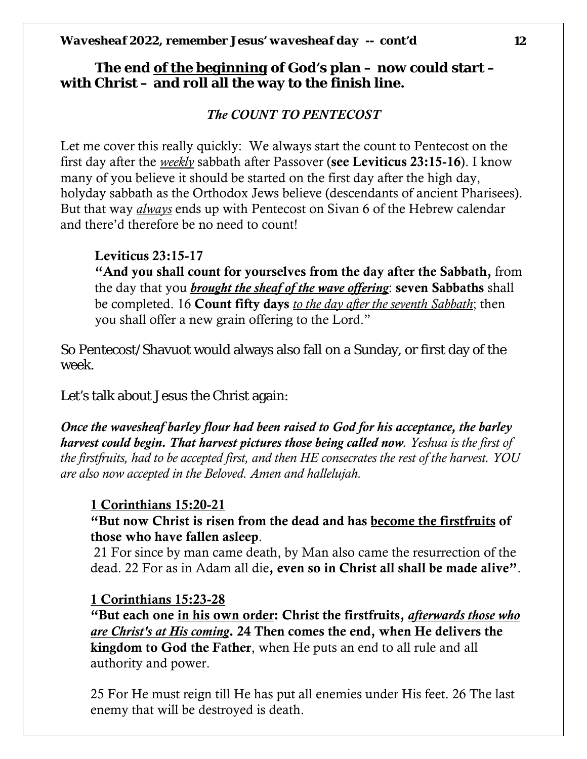#### **The end** *of the beginning* **of God's plan – now could start – with Christ – and roll all the way to the finish line.**

### *The COUNT TO PENTECOST*

Let me cover this really quickly: We always start the count to Pentecost on the first day after the *weekly* sabbath after Passover (see Leviticus 23:15-16). I know many of you believe it should be started on the first day after the high day, holyday sabbath as the Orthodox Jews believe (descendants of ancient Pharisees). But that way *always* ends up with Pentecost on Sivan 6 of the Hebrew calendar and there'd therefore be no need to count!

#### Leviticus 23:15-17

"And you shall count for yourselves from the day after the Sabbath, from the day that you *brought the sheaf of the wave offering*: seven Sabbaths shall be completed. 16 Count fifty days *to the day after the seventh Sabbath*; then you shall offer a new grain offering to the Lord."

So Pentecost/Shavuot would always also fall on a Sunday, or first day of the week.

Let's talk about Jesus the Christ again:

*Once the wavesheaf barley flour had been raised to God for his acceptance, the barley harvest could begin. That harvest pictures those being called now. Yeshua is the first of the firstfruits, had to be accepted first, and then HE consecrates the rest of the harvest. YOU are also now accepted in the Beloved. Amen and hallelujah.* 

### 1 Corinthians 15:20-21

#### "But now Christ is risen from the dead and has become the firstfruits of those who have fallen asleep.

21 For since by man came death, by Man also came the resurrection of the dead. 22 For as in Adam all die, even so in Christ all shall be made alive".

#### 1 Corinthians 15:23-28

"But each one in his own order: Christ the firstfruits, *afterwards those who are Christ's at His coming*. 24 Then comes the end, when He delivers the kingdom to God the Father, when He puts an end to all rule and all authority and power.

25 For He must reign till He has put all enemies under His feet. 26 The last enemy that will be destroyed is death.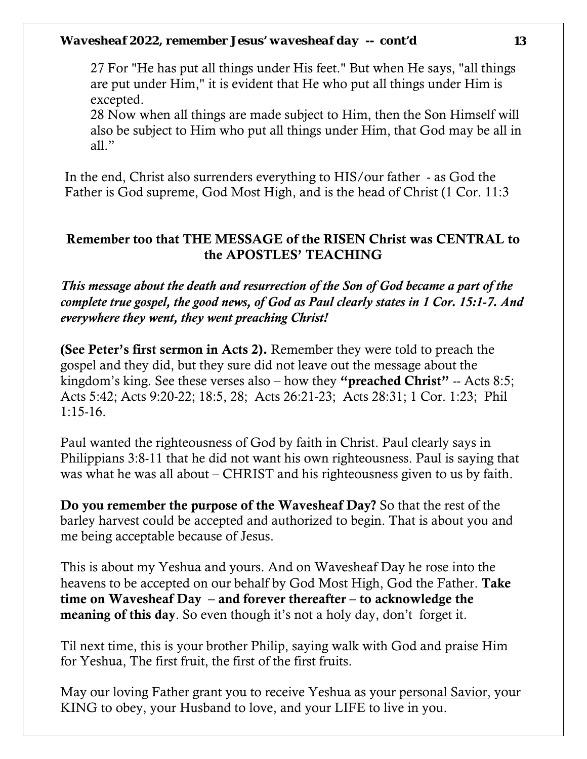27 For "He has put all things under His feet." But when He says, "all things are put under Him," it is evident that He who put all things under Him is excepted.

28 Now when all things are made subject to Him, then the Son Himself will also be subject to Him who put all things under Him, that God may be all in all."

In the end, Christ also surrenders everything to HIS/our father - as God the Father is God supreme, God Most High, and is the head of Christ (1 Cor. 11:3

#### Remember too that THE MESSAGE of the RISEN Christ was CENTRAL to the APOSTLES' TEACHING

*This message about the death and resurrection of the Son of God became a part of the complete true gospel, the good news, of God as Paul clearly states in 1 Cor. 15:1-7. And everywhere they went, they went preaching Christ!*

(See Peter's first sermon in Acts 2). Remember they were told to preach the gospel and they did, but they sure did not leave out the message about the kingdom's king. See these verses also – how they "preached Christ" -- Acts 8:5; Acts 5:42; Acts 9:20-22; 18:5, 28; Acts 26:21-23; Acts 28:31; 1 Cor. 1:23; Phil 1:15-16.

Paul wanted the righteousness of God by faith in Christ. Paul clearly says in Philippians 3:8-11 that he did not want his own righteousness. Paul is saying that was what he was all about – CHRIST and his righteousness given to us by faith.

Do you remember the purpose of the Wavesheaf Day? So that the rest of the barley harvest could be accepted and authorized to begin. That is about you and me being acceptable because of Jesus.

This is about my Yeshua and yours. And on Wavesheaf Day he rose into the heavens to be accepted on our behalf by God Most High, God the Father. Take time on Wavesheaf Day – and forever thereafter – to acknowledge the meaning of this day. So even though it's not a holy day, don't forget it.

Til next time, this is your brother Philip, saying walk with God and praise Him for Yeshua, The first fruit, the first of the first fruits.

May our loving Father grant you to receive Yeshua as your personal Savior, your KING to obey, your Husband to love, and your LIFE to live in you.